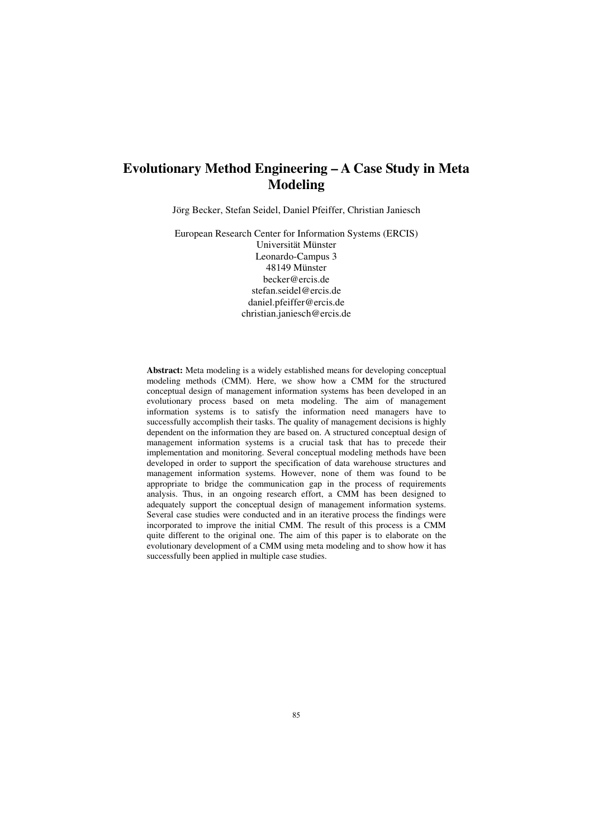# **Evolutionary Method Engineering – A Case Study in Meta Modeling**

Jörg Becker, Stefan Seidel, Daniel Pfeiffer, Christian Janiesch

European Research Center for Information Systems (ERCIS) Universität Münster Leonardo-Campus 3 48149 Münster becker@ercis.de stefan.seidel@ercis.de daniel.pfeiffer@ercis.de christian.janiesch@ercis.de

Abstract: Meta modeling is a widely established means for developing conceptual modeling methods (CMM). Here, we show how a CMM for the structured conceptual design of management information systems has been developed in an evolutionary process based on meta modeling. The aim of management information systems is to satisfy the information need managers have to successfully accomplish their tasks. The quality of management decisions is highly dependent on the information they are based on. A structured conceptual design of management information systems is a crucial task that has to precede their implementation and monitoring. Several conceptual modeling methods have been developed in order to support the specification of data warehouse structures and management information systems. However, none of them was found to be appropriate to bridge the communication gap in the process of requirements analysis. Thus, in an ongoing research effort, a CMM has been designed to adequately support the conceptual design of management information systems. Several case studies were conducted and in an iterative process the findings were incorporated to improve the initial CMM. The result of this process is a CMM quite different to the original one. The aim of this paper is to elaborate on the evolutionary development of a CMM using meta modeling and to show how it has successfully been applied in multiple case studies.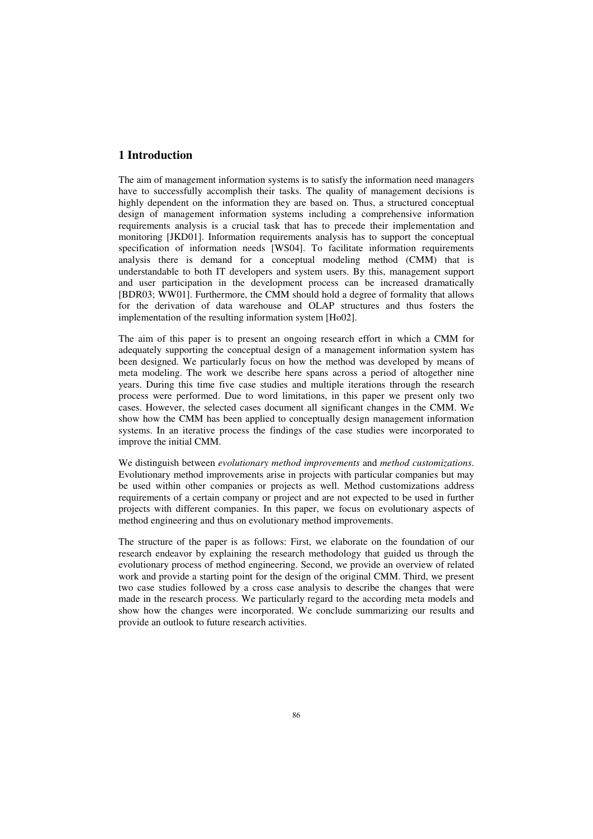# **1** Introduction

The aim of management information systems is to satisfy the information need managers have to successfully accomplish their tasks. The quality of management decisions is highly dependent on the information they are based on. Thus, a structured conceptual design of management information systems including a comprehensive information requirements analysis is a crucial task that has to precede their implementation and monitoring [JKD01]. Information requirements analysis has to support the conceptual specification of information needs [WS04]. To facilitate information requirements analysis there is demand for a conceptual modeling method  $(CMM)$  that is understandable to both IT developers and system users. By this, management support and user participation in the development process can be increased dramatically [BDR03; WW01]. Furthermore, the CMM should hold a degree of formality that allows for the derivation of data warehouse and OLAP structures and thus fosters the implementation of the resulting information system [Ho02].

The aim of this paper is to present an ongoing research effort in which a CMM for adequately supporting the conceptual design of a management information system has been designed. We particularly focus on how the method was developed by means of meta modeling. The work we describe here spans across a period of altogether nine years. During this time five case studies and multiple iterations through the research process were performed. Due to word limitations, in this paper we present only two cases. However, the selected cases document all significant changes in the CMM. We show how the CMM has been applied to conceptually design management information systems. In an iterative process the findings of the case studies were incorporated to improve the initial CMM.

We distinguish between evolutionary method improvements and method customizations. Evolutionary method improvements arise in projects with particular companies but may be used within other companies or projects as well. Method customizations address requirements of a certain company or project and are not expected to be used in further projects with different companies. In this paper, we focus on evolutionary aspects of method engineering and thus on evolutionary method improvements.

The structure of the paper is as follows: First, we elaborate on the foundation of our research endeavor by explaining the research methodology that guided us through the evolutionary process of method engineering. Second, we provide an overview of related work and provide a starting point for the design of the original CMM. Third, we present two case studies followed by a cross case analysis to describe the changes that were made in the research process. We particularly regard to the according meta models and show how the changes were incorporated. We conclude summarizing our results and provide an outlook to future research activities.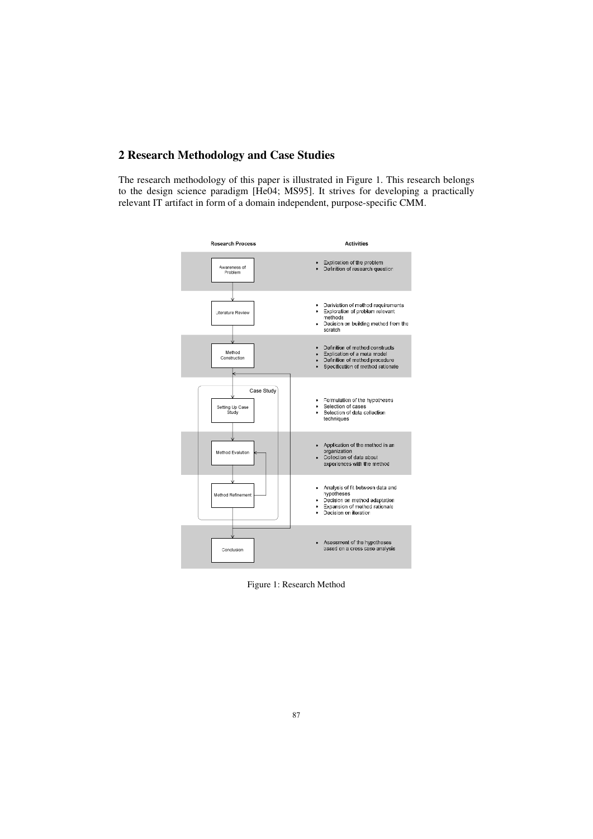# 2 Research Methodology and Case Studies

The research methodology of this paper is illustrated in Figure 1. This research belongs to the design science paradigm [He04; MS95]. It strives for developing a practically relevant IT artifact in form of a domain independent, purpose-specific CMM.



Figure 1: Research Method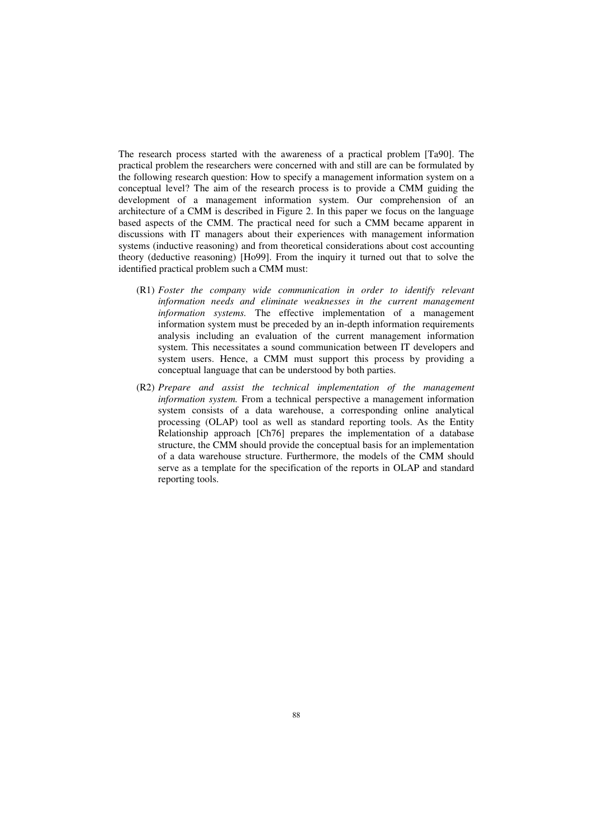The research process started with the awareness of a practical problem [Ta90]. The practical problem the researchers were concerned with and still are can be formulated by the following research question: How to specify a management information system on a conceptual level? The aim of the research process is to provide a CMM guiding the development of a management information system. Our comprehension of an architecture of a CMM is described in Figure 2. In this paper we focus on the language based aspects of the CMM. The practical need for such a CMM became apparent in discussions with IT managers about their experiences with management information systems (inductive reasoning) and from theoretical considerations about cost accounting theory (deductive reasoning) [Ho99]. From the inquiry it turned out that to solve the identified practical problem such a CMM must:

- (R1) Foster the company wide communication in order to identify relevant *information needs and eliminate weaknesses in the current management information systems*. The effective implementation of a management information system must be preceded by an in-depth information requirements analysis including an evaluation of the current management information system. This necessitates a sound communication between IT developers and system users. Hence, a CMM must support this process by providing a conceptual language that can be understood by both parties.
- (R2) Prepare and assist the technical implementation of the management *information system.* From a technical perspective a management information system consists of a data warehouse, a corresponding online analytical processing (OLAP) tool as well as standard reporting tools. As the Entity Relationship approach [Ch76] prepares the implementation of a database structure, the CMM should provide the conceptual basis for an implementation of a data warehouse structure. Furthermore, the models of the CMM should serve as a template for the specification of the reports in OLAP and standard reporting tools.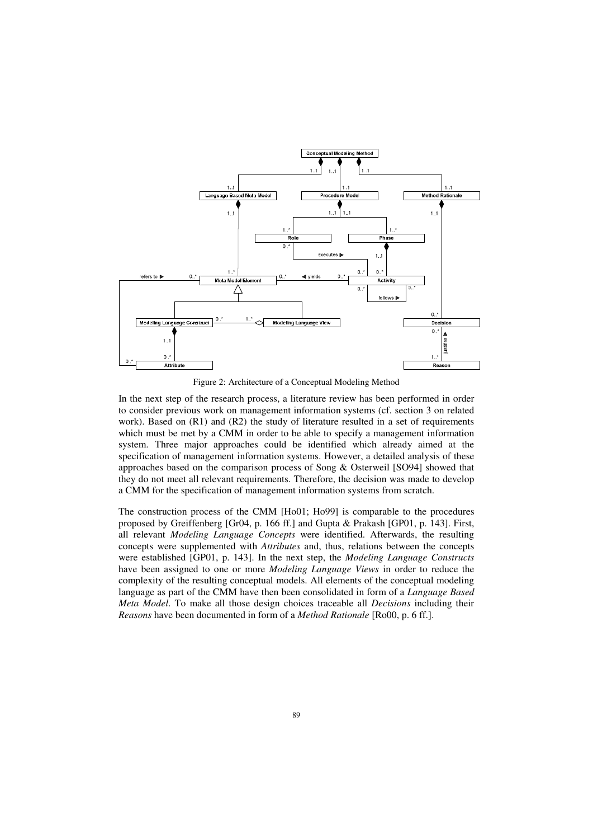

Figure 2: Architecture of a Conceptual Modeling Method

In the next step of the research process, a literature review has been performed in order to consider previous work on management information systems (cf. section 3 on related work). Based on  $(R1)$  and  $(R2)$  the study of literature resulted in a set of requirements which must be met by a CMM in order to be able to specify a management information system. Three major approaches could be identified which already aimed at the specification of management information systems. However, a detailed analysis of these approaches based on the comparison process of Song  $&$  Osterweil [SO94] showed that they do not meet all relevant requirements. Therefore, the decision was made to develop a CMM for the specification of management information systems from scratch.

The construction process of the CMM [Ho01: Ho99] is comparable to the procedures proposed by Greiffenberg [Gr04, p. 166 ff.] and Gupta & Prakash [GP01, p. 143]. First, all relevant Modeling Language Concepts were identified. Afterwards, the resulting concepts were supplemented with *Attributes* and, thus, relations between the concepts were established [GP01, p. 143]. In the next step, the *Modeling Language Constructs* have been assigned to one or more *Modeling Language Views* in order to reduce the complexity of the resulting conceptual models. All elements of the conceptual modeling language as part of the CMM have then been consolidated in form of a Language Based *Meta Model.* To make all those design choices traceable all *Decisions* including their *Reasons* have been documented in form of a *Method Rationale* [Ro00, p. 6 ff.].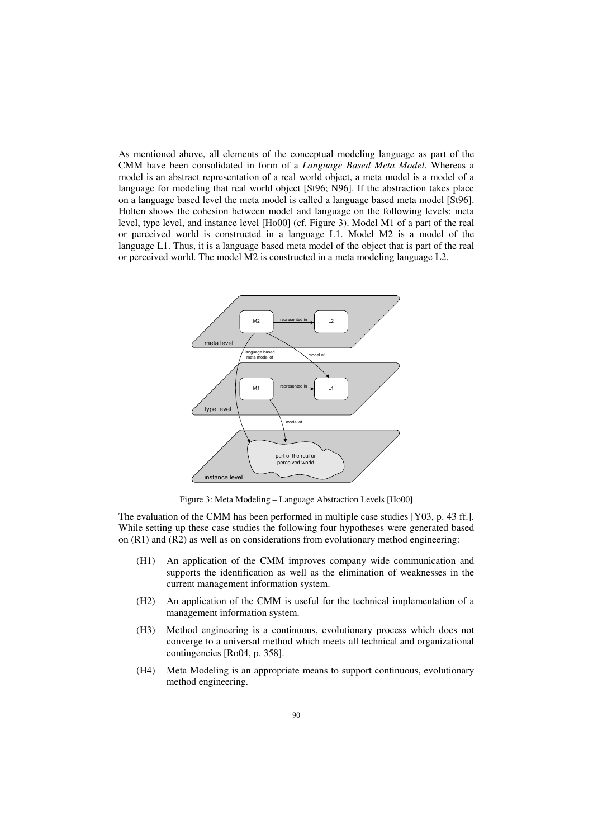As mentioned above, all elements of the conceptual modeling language as part of the CMM have been consolidated in form of a *Language Based Meta Model*. Whereas a model is an abstract representation of a real world object, a meta model is a model of a language for modeling that real world object [St96; N96]. If the abstraction takes place on a language based level the meta model is called a language based meta model [St96]. Holten shows the cohesion between model and language on the following levels: meta level, type level, and instance level [Ho00] (cf. Figure 3). Model M1 of a part of the real or perceived world is constructed in a language L1. Model M2 is a model of the language L1. Thus, it is a language based meta model of the object that is part of the real or perceived world. The model  $M2$  is constructed in a meta modeling language  $L2$ .



Figure 3: Meta Modeling – Language Abstraction Levels [Ho00]

The evaluation of the CMM has been performed in multiple case studies [Y03, p. 43 ff.]. While setting up these case studies the following four hypotheses were generated based on  $(R1)$  and  $(R2)$  as well as on considerations from evolutionary method engineering:

- (H1) An application of the CMM improves company wide communication and supports the identification as well as the elimination of weaknesses in the current management information system.
- $(H2)$  An application of the CMM is useful for the technical implementation of a management information system.
- (H3) Method engineering is a continuous, evolutionary process which does not converge to a universal method which meets all technical and organizational  $contingencies$  [Ro04, p. 358].
- (H4) Meta Modeling is an appropriate means to support continuous, evolutionary method engineering.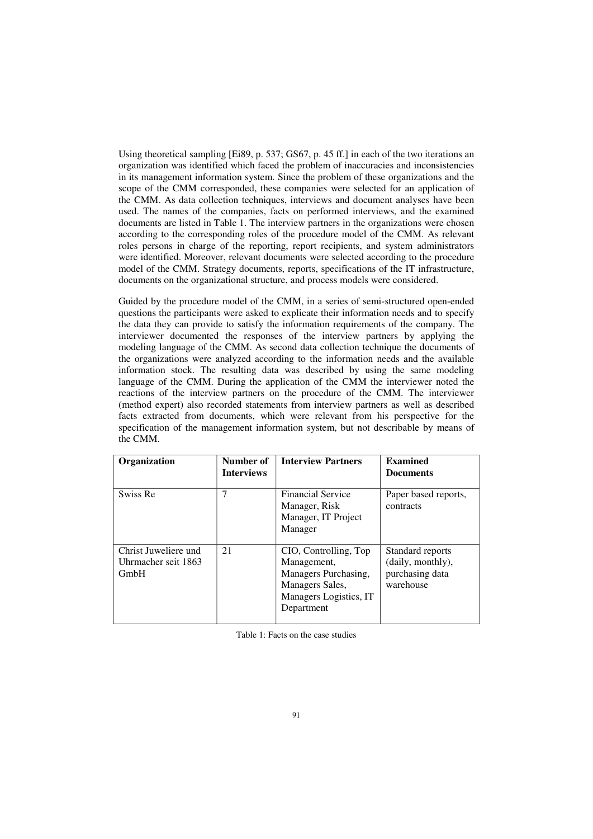Using theoretical sampling  $[E189, p. 537; G567, p. 45$  ff. l in each of the two iterations an organization was identified which faced the problem of inaccuracies and inconsistencies in its management information system. Since the problem of these organizations and the scope of the CMM corresponded, these companies were selected for an application of the CMM. As data collection techniques, interviews and document analyses have been used. The names of the companies, facts on performed interviews, and the examined documents are listed in Table 1. The interview partners in the organizations were chosen according to the corresponding roles of the procedure model of the CMM. As relevant roles persons in charge of the reporting, report recipients, and system administrators were identified. Moreover, relevant documents were selected according to the procedure model of the CMM. Strategy documents, reports, specifications of the IT infrastructure. documents on the organizational structure, and process models were considered.

Guided by the procedure model of the CMM, in a series of semi-structured open-ended questions the participants were asked to explicate their information needs and to specify the data they can provide to satisfy the information requirements of the company. The interviewer documented the responses of the interview partners by applying the modeling language of the CMM. As second data collection technique the documents of the organizations were analyzed according to the information needs and the available information stock. The resulting data was described by using the same modeling language of the CMM. During the application of the CMM the interviewer noted the reactions of the interview partners on the procedure of the CMM. The interviewer (method expert) also recorded statements from interview partners as well as described facts extracted from documents, which were relevant from his perspective for the specification of the management information system, but not describable by means of the CMM.

| Organization                                        | Number of<br><b>Interviews</b> | <b>Interview Partners</b>                                                                                               | <b>Examined</b><br><b>Documents</b>                                   |
|-----------------------------------------------------|--------------------------------|-------------------------------------------------------------------------------------------------------------------------|-----------------------------------------------------------------------|
| Swiss Re                                            | 7                              | <b>Financial Service</b><br>Manager, Risk<br>Manager, IT Project<br>Manager                                             | Paper based reports,<br>contracts                                     |
| Christ Juweliere und<br>Uhrmacher seit 1863<br>GmbH | 21                             | CIO, Controlling, Top<br>Management,<br>Managers Purchasing,<br>Managers Sales,<br>Managers Logistics, IT<br>Department | Standard reports<br>(daily, monthly),<br>purchasing data<br>warehouse |

Table 1: Facts on the case studies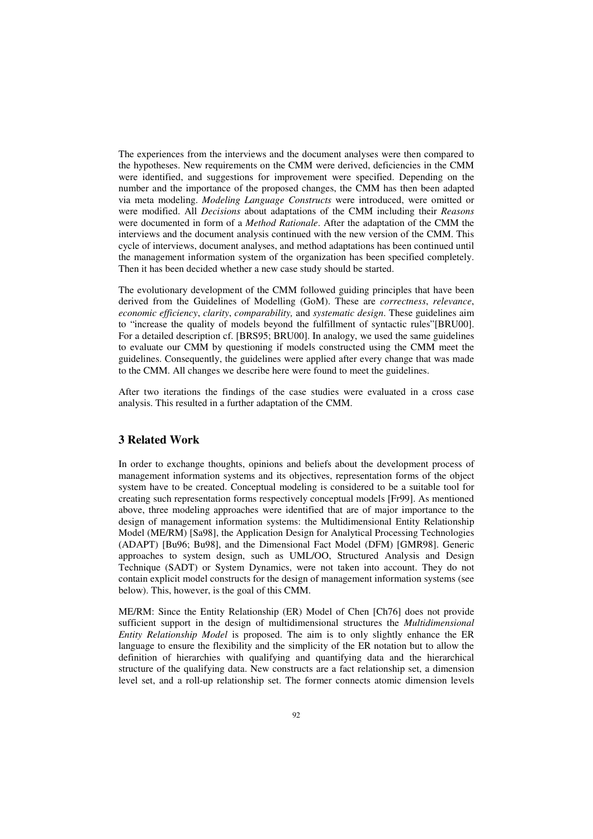The experiences from the interviews and the document analyses were then compared to the hypotheses. New requirements on the CMM were derived, deficiencies in the CMM were identified, and suggestions for improvement were specified. Depending on the number and the importance of the proposed changes, the CMM has then been adapted via meta modeling. *Modeling Language Constructs* were introduced, were omitted or were modified. All *Decisions* about adaptations of the CMM including their *Reasons* were documented in form of a *Method Rationale*. After the adaptation of the CMM the interviews and the document analysis continued with the new version of the CMM. This cycle of interviews, document analyses, and method adaptations has been continued until the management information system of the organization has been specified completely. Then it has been decided whether a new case study should be started.

The evolutionary development of the CMM followed guiding principles that have been derived from the Guidelines of Modelling (GoM). These are *correctness*, *relevance*, *economic efficiency, clarity, comparability, and systematic design. These guidelines aim* to "increase the quality of models beyond the fulfillment of syntactic rules"[BRU00]. For a detailed description cf. [BRS95; BRU00]. In analogy, we used the same guidelines to evaluate our CMM by questioning if models constructed using the CMM meet the guidelines. Consequently, the guidelines were applied after every change that was made to the CMM. All changes we describe here were found to meet the guidelines.

After two iterations the findings of the case studies were evaluated in a cross case analysis. This resulted in a further adaptation of the CMM.

### *3* **Related Work**

In order to exchange thoughts, opinions and beliefs about the development process of management information systems and its objectives, representation forms of the object system have to be created. Conceptual modeling is considered to be a suitable tool for creating such representation forms respectively conceptual models [Fr99]. As mentioned above, three modeling approaches were identified that are of major importance to the design of management information systems: the Multidimensional Entity Relationship Model (ME/RM) [Sa98], the Application Design for Analytical Processing Technologies (ADAPT) [Bu96; Bu98], and the Dimensional Fact Model (DFM) [GMR98]. Generic approaches to system design, such as UML/OO, Structured Analysis and Design Technique (SADT) or System Dynamics, were not taken into account. They do not contain explicit model constructs for the design of management information systems (see below). This, however, is the goal of this CMM.

ME/RM: Since the Entity Relationship (ER) Model of Chen [Ch76] does not provide sufficient support in the design of multidimensional structures the *Multidimensional Entity Relationship Model* is proposed. The aim is to only slightly enhance the ER language to ensure the flexibility and the simplicity of the ER notation but to allow the definition of hierarchies with qualifying and quantifying data and the hierarchical structure of the qualifying data. New constructs are a fact relationship set, a dimension level set, and a roll-up relationship set. The former connects atomic dimension levels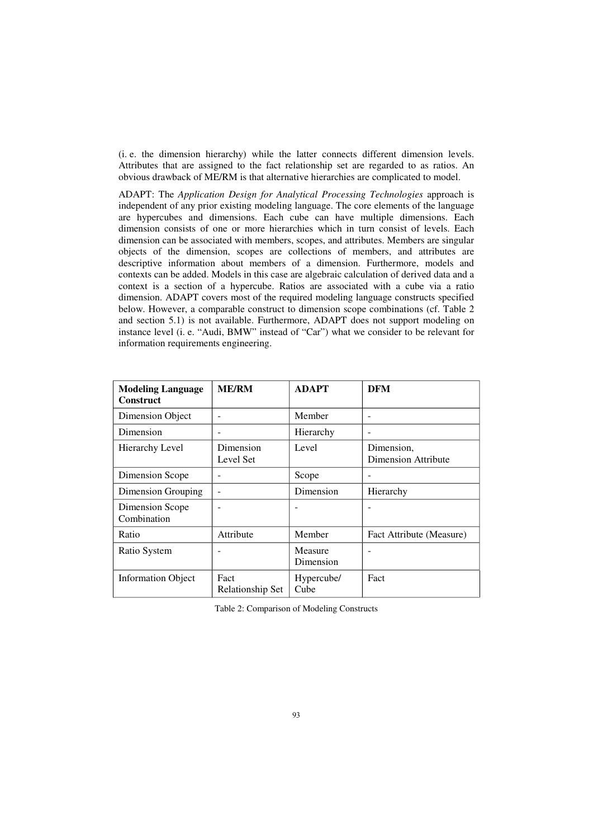$(i, e, the dimension hierarchy)$  while the latter connects different dimension levels. Attributes that are assigned to the fact relationship set are regarded to as ratios. An obvious drawback of ME/RM is that alternative hierarchies are complicated to model.

ADAPT: The *Application Design for Analytical Processing Technologies* approach is independent of any prior existing modeling language. The core elements of the language are hypercubes and dimensions. Each cube can have multiple dimensions. Each dimension consists of one or more hierarchies which in turn consist of levels. Each dimension can be associated with members, scopes, and attributes. Members are singular objects of the dimension, scopes are collections of members, and attributes are descriptive information about members of a dimension. Furthermore, models and contexts can be added. Models in this case are algebraic calculation of derived data and a context is a section of a hypercube. Ratios are associated with a cube via a ratio dimension. ADAPT covers most of the required modeling language constructs specified below. However, a comparable construct to dimension scope combinations (cf. Table 2 and section 5.1) is not available. Furthermore, ADAPT does not support modeling on instance level (i. e. "Audi, BMW" instead of "Car") what we consider to be relevant for information requirements engineering.

| <b>Modeling Language</b><br><b>Construct</b> | <b>ME/RM</b>             | <b>ADAPT</b>         | DFM                               |
|----------------------------------------------|--------------------------|----------------------|-----------------------------------|
| Dimension Object                             |                          | Member               | ۰                                 |
| Dimension                                    |                          | Hierarchy            | ۰                                 |
| Hierarchy Level                              | Dimension<br>Level Set   | Level                | Dimension,<br>Dimension Attribute |
| Dimension Scope                              |                          | Scope                |                                   |
| Dimension Grouping                           |                          | Dimension            | Hierarchy                         |
| <b>Dimension Scope</b><br>Combination        |                          | ۰                    |                                   |
| Ratio                                        | Attribute                | Member               | Fact Attribute (Measure)          |
| Ratio System                                 |                          | Measure<br>Dimension | ۰                                 |
| <b>Information Object</b>                    | Fact<br>Relationship Set | Hypercube/<br>Cube   | Fact                              |

Table 2: Comparison of Modeling Constructs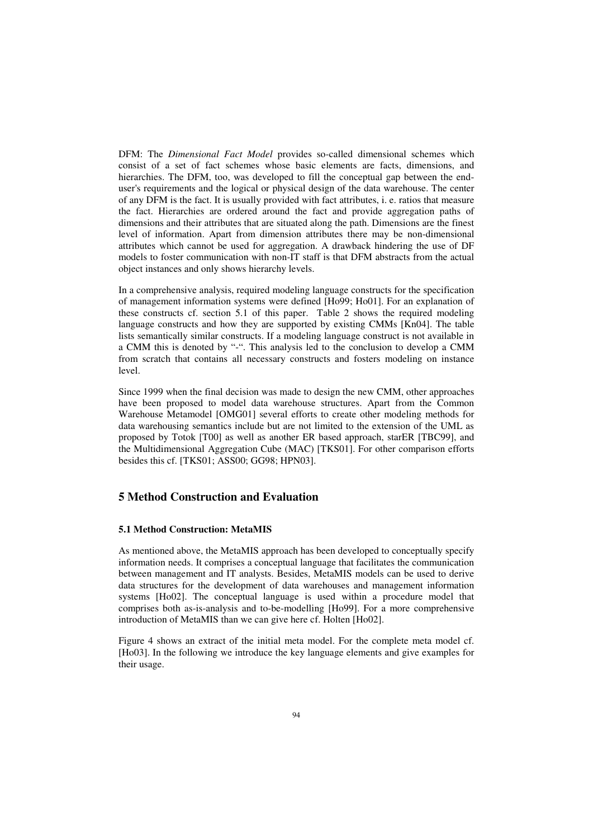DFM: The *Dimensional Fact Model* provides so-called dimensional schemes which consist of a set of fact schemes whose basic elements are facts, dimensions, and hierarchies. The DFM, too, was developed to fill the conceptual gap between the enduser's requirements and the logical or physical design of the data warehouse. The center of any DFM is the fact. It is usually provided with fact attributes, i. e. ratios that measure the fact. Hierarchies are ordered around the fact and provide aggregation paths of dimensions and their attributes that are situated along the path. Dimensions are the finest level of information. Apart from dimension attributes there may be non-dimensional attributes which cannot be used for aggregation. A drawback hindering the use of DF models to foster communication with non-IT staff is that DFM abstracts from the actual object instances and only shows hierarchy levels.

In a comprehensive analysis, required modeling language constructs for the specification of management information systems were defined [Ho99; Ho01]. For an explanation of these constructs cf. section 5.1 of this paper. Table 2 shows the required modeling language constructs and how they are supported by existing CMMs  $[Kn04]$ . The table lists semantically similar constructs. If a modeling language construct is not available in a CMM this is denoted by "-". This analysis led to the conclusion to develop a CMM from scratch that contains all necessary constructs and fosters modeling on instance level

Since 1999 when the final decision was made to design the new CMM, other approaches have been proposed to model data warehouse structures. Apart from the Common Warehouse Metamodel [OMG01] several efforts to create other modeling methods for data warehousing semantics include but are not limited to the extension of the UML as proposed by Totok [T00] as well as another ER based approach, starER [TBC99], and the Multidimensional Aggregation Cube (MAC) [TKS01]. For other comparison efforts besides this cf. [TKS01; ASS00; GG98; HPN03].

## **5 Method Construction and Evaluation**

## **5.1 Method Construction: MetaMIS**

As mentioned above, the MetaMIS approach has been developed to conceptually specify information needs. It comprises a conceptual language that facilitates the communication between management and IT analysts. Besides, MetaMIS models can be used to derive data structures for the development of data warehouses and management information systems [Ho02]. The conceptual language is used within a procedure model that comprises both as-is-analysis and to-be-modelling [Ho99]. For a more comprehensive introduction of MetaMIS than we can give here cf. Holten [Ho02].

Figure 4 shows an extract of the initial meta model. For the complete meta model cf.  $[H<sub>003</sub>]$ . In the following we introduce the key language elements and give examples for their usage.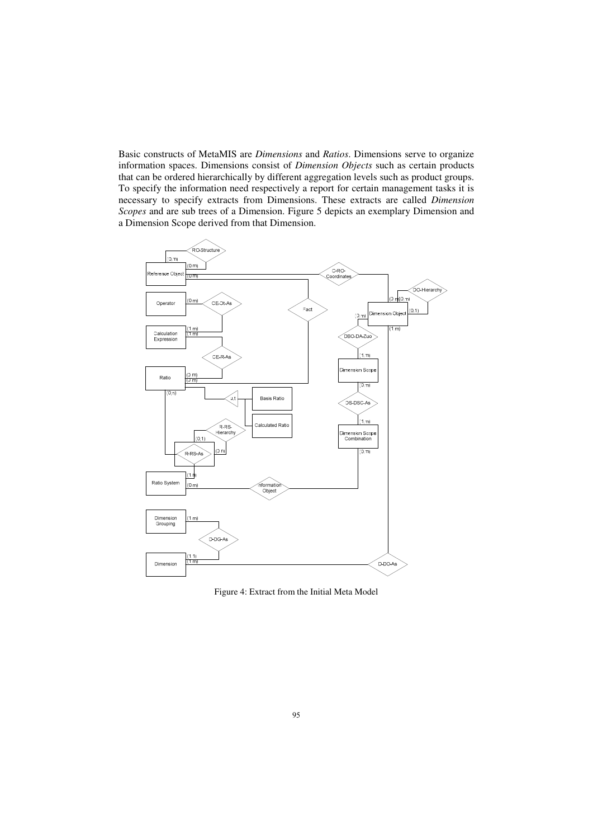Basic constructs of MetaMIS are *Dimensions* and *Ratios*. Dimensions serve to organize information spaces. Dimensions consist of *Dimension Objects* such as certain products that can be ordered hierarchically by different aggregation levels such as product groups. To specify the information need respectively a report for certain management tasks it is necessary to specify extracts from Dimensions. These extracts are called *Dimension Scopes* and are sub trees of a Dimension. Figure 5 depicts an exemplary Dimension and a Dimension Scope derived from that Dimension.



Figure 4: Extract from the Initial Meta Model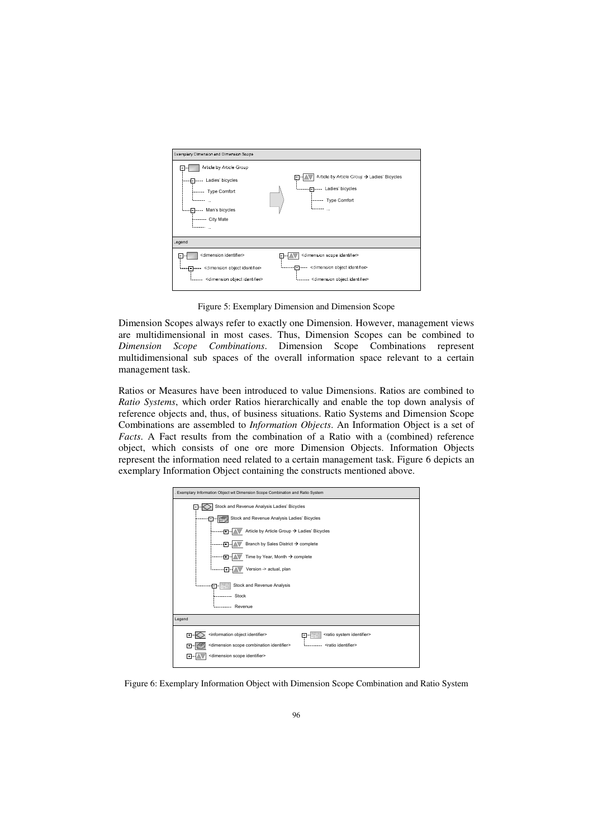

Figure 5: Exemplary Dimension and Dimension Scope

Dimension Scopes always refer to exactly one Dimension. However, management views are multidimensional in most cases. Thus, Dimension Scopes can be combined to Dimension Scope Combinations. Dimension Scope Combinations represent multidimensional sub spaces of the overall information space relevant to a certain management task.

Ratios or Measures have been introduced to value Dimensions. Ratios are combined to Ratio Systems, which order Ratios hierarchically and enable the top down analysis of reference objects and, thus, of business situations. Ratio Systems and Dimension Scope Combinations are assembled to *Information Objects*. An Information Object is a set of Facts. A Fact results from the combination of a Ratio with a (combined) reference object, which consists of one ore more Dimension Objects. Information Objects represent the information need related to a certain management task. Figure 6 depicts an exemplary Information Object containing the constructs mentioned above.



Figure 6: Exemplary Information Object with Dimension Scope Combination and Ratio System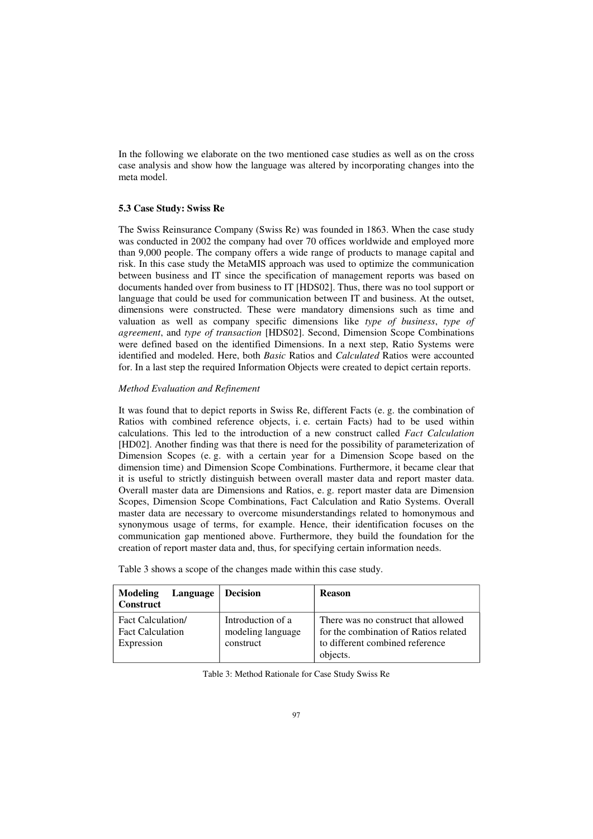In the following we elaborate on the two mentioned case studies as well as on the cross case analysis and show how the language was altered by incorporating changes into the meta model.

#### **5.3 Case Study: Swiss Re**

The Swiss Reinsurance Company (Swiss Re) was founded in 1863. When the case study was conducted in 2002 the company had over 70 offices worldwide and employed more than 9,000 people. The company offers a wide range of products to manage capital and risk. In this case study the MetaMIS approach was used to optimize the communication between business and IT since the specification of management reports was based on documents handed over from business to IT [HDS02]. Thus, there was no tool support or language that could be used for communication between IT and business. At the outset, dimensions were constructed. These were mandatory dimensions such as time and valuation as well as company specific dimensions like type of business, type of *agreement, and type of transaction* [HDS02]. Second, Dimension Scope Combinations were defined based on the identified Dimensions. In a next step, Ratio Systems were identified and modeled. Here, both Basic Ratios and Calculated Ratios were accounted for. In a last step the required Information Objects were created to depict certain reports.

### $$

It was found that to depict reports in Swiss Re, different Facts (e.g. the combination of Ratios with combined reference objects, i.e. certain Facts) had to be used within calculations. This led to the introduction of a new construct called *Fact Calculation*  $[HD02]$ . Another finding was that there is need for the possibility of parameterization of Dimension Scopes (e.g. with a certain year for a Dimension Scope based on the dimension time) and Dimension Scope Combinations. Furthermore, it became clear that it is useful to strictly distinguish between overall master data and report master data. Overall master data are Dimensions and Ratios, e. g. report master data are Dimension Scopes, Dimension Scope Combinations, Fact Calculation and Ratio Systems. Overall master data are necessary to overcome misunderstandings related to homonymous and synonymous usage of terms, for example. Hence, their identification focuses on the communication gap mentioned above. Furthermore, they build the foundation for the creation of report master data and, thus, for specifying certain information needs.

Table 3 shows a scope of the changes made within this case study.

| Language<br>Modeling<br><b>Construct</b>                           | <b>Decision</b>                                     | <b>Reason</b>                                                                                                               |
|--------------------------------------------------------------------|-----------------------------------------------------|-----------------------------------------------------------------------------------------------------------------------------|
| <b>Fact Calculation</b> /<br><b>Fact Calculation</b><br>Expression | Introduction of a<br>modeling language<br>construct | There was no construct that allowed<br>for the combination of Ratios related<br>to different combined reference<br>objects. |

| Table 3: Method Rationale for Case Study Swiss Re |  |  |  |
|---------------------------------------------------|--|--|--|
|---------------------------------------------------|--|--|--|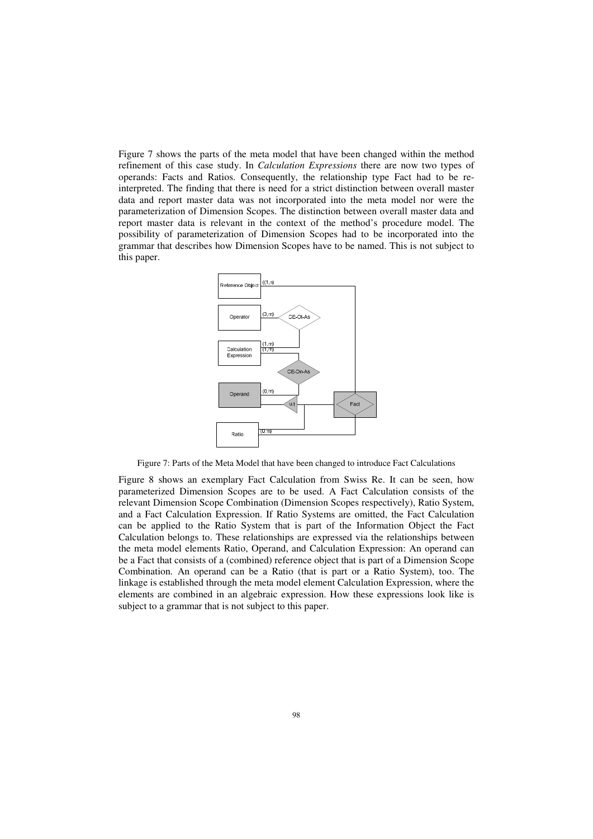Figure 7 shows the parts of the meta model that have been changed within the method refinement of this case study. In *Calculation Expressions* there are now two types of operands: Facts and Ratios. Consequently, the relationship type Fact had to be reinterpreted. The finding that there is need for a strict distinction between overall master data and report master data was not incorporated into the meta model nor were the parameterization of Dimension Scopes. The distinction between overall master data and report master data is relevant in the context of the method's procedure model. The possibility of parameterization of Dimension Scopes had to be incorporated into the grammar that describes how Dimension Scopes have to be named. This is not subject to this paper.



Figure 7: Parts of the Meta Model that have been changed to introduce Fact Calculations

Figure 8 shows an exemplary Fact Calculation from Swiss Re. It can be seen, how parameterized Dimension Scopes are to be used. A Fact Calculation consists of the relevant Dimension Scope Combination (Dimension Scopes respectively), Ratio System, and a Fact Calculation Expression. If Ratio Systems are omitted, the Fact Calculation can be applied to the Ratio System that is part of the Information Object the Fact Calculation belongs to. These relationships are expressed via the relationships between the meta model elements Ratio, Operand, and Calculation Expression: An operand can be a Fact that consists of a (combined) reference object that is part of a Dimension Scope Combination. An operand can be a Ratio (that is part or a Ratio System), too. The linkage is established through the meta model element Calculation Expression, where the elements are combined in an algebraic expression. How these expressions look like is subject to a grammar that is not subject to this paper.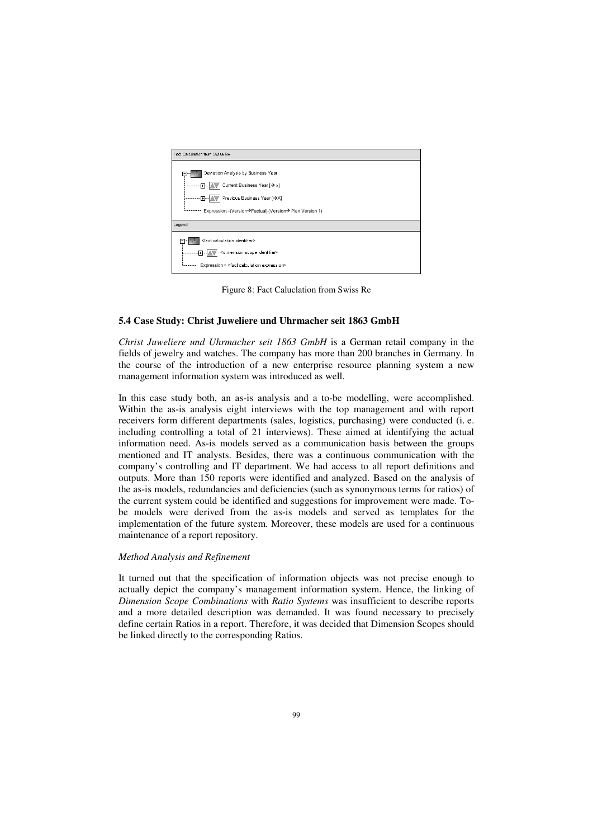

Figure 8: Fact Caluclation from Swiss Re

#### **5.4 Case Study: Christ Juweliere und Uhrmacher seit 1863 GmbH**

*Christ Juweliere und Uhrmacher seit 1863 GmbH* is a German retail company in the fields of jewelry and watches. The company has more than 200 branches in Germany. In the course of the introduction of a new enterprise resource planning system a new management information system was introduced as well.

In this case study both, an as-is analysis and a to-be modelling, were accomplished. Within the as-is analysis eight interviews with the top management and with report receivers form different departments (sales, logistics, purchasing) were conducted (i. e. including controlling a total of 21 interviews). These aimed at identifying the actual information need. As-is models served as a communication basis between the groups mentioned and IT analysts. Besides, there was a continuous communication with the company's controlling and IT department. We had access to all report definitions and outputs. More than 150 reports were identified and analyzed. Based on the analysis of the as-is models, redundancies and deficiencies (such as synonymous terms for ratios) of the current system could be identified and suggestions for improvement were made. Tobe models were derived from the as-is models and served as templates for the implementation of the future system. Moreover, these models are used for a continuous maintenance of a report repository.

#### $$

It turned out that the specification of information objects was not precise enough to actually depict the company's management information system. Hence, the linking of *Dimension Scope Combinations with Ratio Systems was insufficient to describe reports* and a more detailed description was demanded. It was found necessary to precisely define certain Ratios in a report. Therefore, it was decided that Dimension Scopes should be linked directly to the corresponding Ratios.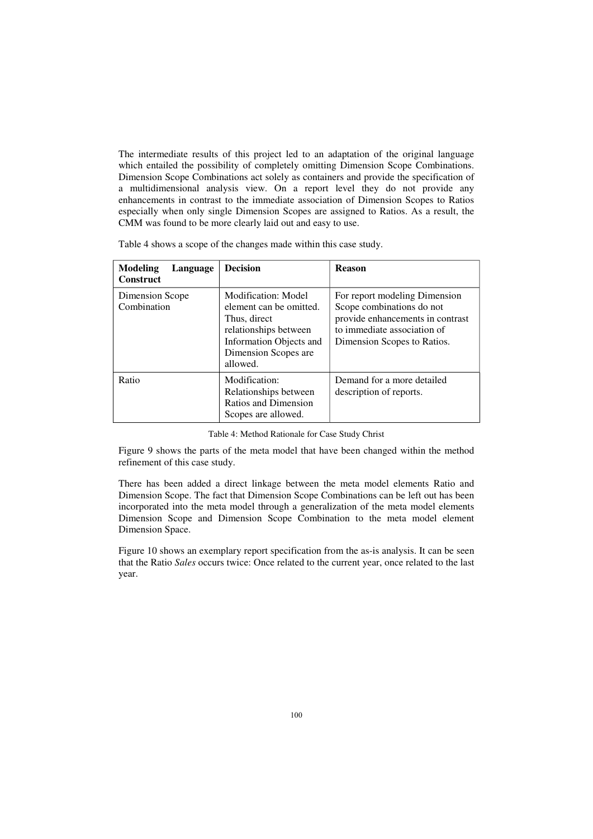The intermediate results of this project led to an adaptation of the original language which entailed the possibility of completely omitting Dimension Scope Combinations. Dimension Scope Combinations act solely as containers and provide the specification of a multidimensional analysis view. On a report level they do not provide any enhancements in contrast to the immediate association of Dimension Scopes to Ratios especially when only single Dimension Scopes are assigned to Ratios. As a result, the CMM was found to be more clearly laid out and easy to use.

| Table 4 shows a scope of the changes made within this case study. |  |  |
|-------------------------------------------------------------------|--|--|
|                                                                   |  |  |

| Modeling<br>Language<br><b>Construct</b> | <b>Decision</b>                                                                                                                                               | <b>Reason</b>                                                                                                                                                |
|------------------------------------------|---------------------------------------------------------------------------------------------------------------------------------------------------------------|--------------------------------------------------------------------------------------------------------------------------------------------------------------|
| Dimension Scope<br>Combination           | <b>Modification: Model</b><br>element can be omitted.<br>Thus, direct<br>relationships between<br>Information Objects and<br>Dimension Scopes are<br>allowed. | For report modeling Dimension<br>Scope combinations do not<br>provide enhancements in contrast<br>to immediate association of<br>Dimension Scopes to Ratios. |
| Ratio                                    | Modification:<br>Relationships between<br>Ratios and Dimension<br>Scopes are allowed.                                                                         | Demand for a more detailed<br>description of reports.                                                                                                        |

Table 4: Method Rationale for Case Study Christ

Figure 9 shows the parts of the meta model that have been changed within the method refinement of this case study.

There has been added a direct linkage between the meta model elements Ratio and Dimension Scope. The fact that Dimension Scope Combinations can be left out has been incorporated into the meta model through a generalization of the meta model elements Dimension Scope and Dimension Scope Combination to the meta model element Dimension Space.

Figure 10 shows an exemplary report specification from the as-is analysis. It can be seen that the Ratio Sales occurs twice: Once related to the current year, once related to the last year.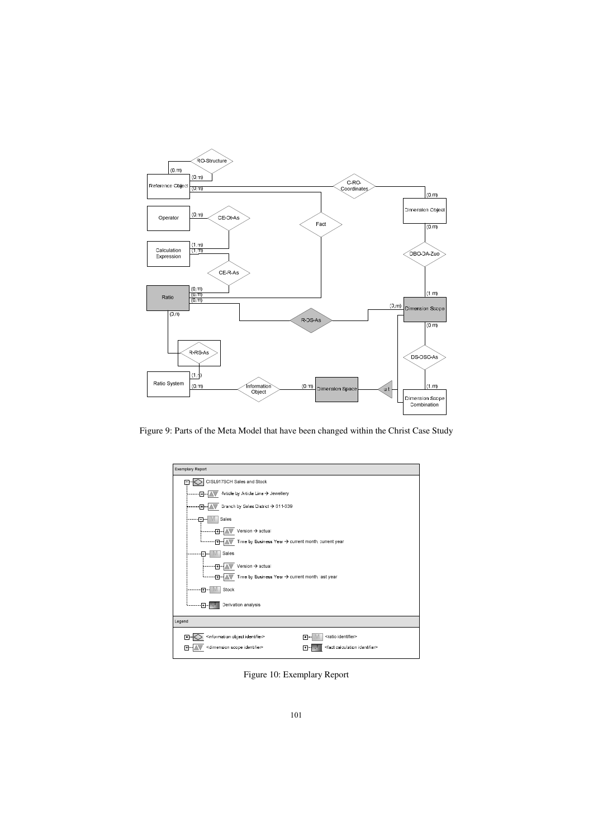

Figure 9: Parts of the Meta Model that have been changed within the Christ Case Study

| <b>Exemplary Report</b>                                                                              |
|------------------------------------------------------------------------------------------------------|
| CISL917SCH Sales and Stock                                                                           |
| Article by Article Line → Jewellery<br>۰Π.                                                           |
| Branch by Sales District → 611-639<br>Ð                                                              |
| Sales<br>-1                                                                                          |
| Version $\rightarrow$ actual<br>$\mathsf{F}$                                                         |
| Time by Business Year → current month, current year<br>-नि-                                          |
| Sales                                                                                                |
| Version > actual<br>स्र                                                                              |
| Time by Business Year → current month, last year<br>Ð.                                               |
| Stock<br>.ஈ⊶                                                                                         |
| Derivation analysis<br>曱                                                                             |
| Legend                                                                                               |
| <information identifier="" object=""><br/><ratio identifier=""><br/>ஈ<br/>⊪</ratio></information>    |
| <dimension identifier="" scope=""><br/><fact calculation="" identifier=""><br/>ŀ۰</fact></dimension> |

Figure 10: Exemplary Report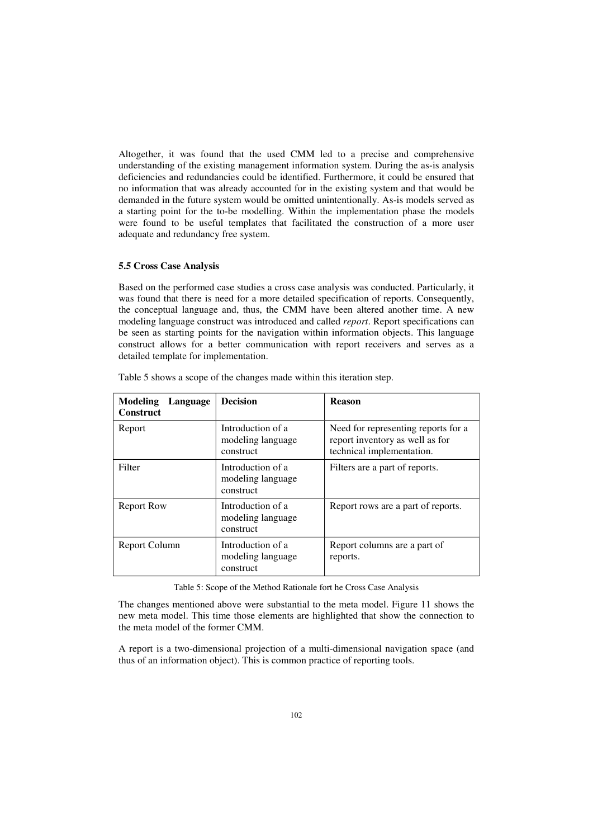Altogether, it was found that the used CMM led to a precise and comprehensive understanding of the existing management information system. During the as-is analysis deficiencies and redundancies could be identified. Furthermore, it could be ensured that no information that was already accounted for in the existing system and that would be demanded in the future system would be omitted unintentionally. As-is models served as a starting point for the to-be modelling. Within the implementation phase the models were found to be useful templates that facilitated the construction of a more user adequate and redundancy free system.

#### **5.5 Cross Case Analysis**

Based on the performed case studies a cross case analysis was conducted. Particularly, it was found that there is need for a more detailed specification of reports. Consequently, the conceptual language and, thus, the CMM have been altered another time. A new modeling language construct was introduced and called *report*. Report specifications can be seen as starting points for the navigation within information objects. This language construct allows for a better communication with report receivers and serves as a detailed template for implementation.

| <b>Modeling</b><br>Language<br><b>Construct</b> | <b>Decision</b>                                     | <b>Reason</b>                                                                                       |
|-------------------------------------------------|-----------------------------------------------------|-----------------------------------------------------------------------------------------------------|
| Report                                          | Introduction of a<br>modeling language<br>construct | Need for representing reports for a<br>report inventory as well as for<br>technical implementation. |
| Filter                                          | Introduction of a<br>modeling language<br>construct | Filters are a part of reports.                                                                      |
| <b>Report Row</b>                               | Introduction of a<br>modeling language<br>construct | Report rows are a part of reports.                                                                  |
| Report Column                                   | Introduction of a<br>modeling language<br>construct | Report columns are a part of<br>reports.                                                            |

Table 5 shows a scope of the changes made within this iteration step.

Table 5: Scope of the Method Rationale fort he Cross Case Analysis

The changes mentioned above were substantial to the meta model. Figure 11 shows the new meta model. This time those elements are highlighted that show the connection to the meta model of the former CMM.

A report is a two-dimensional projection of a multi-dimensional navigation space (and thus of an information object). This is common practice of reporting tools.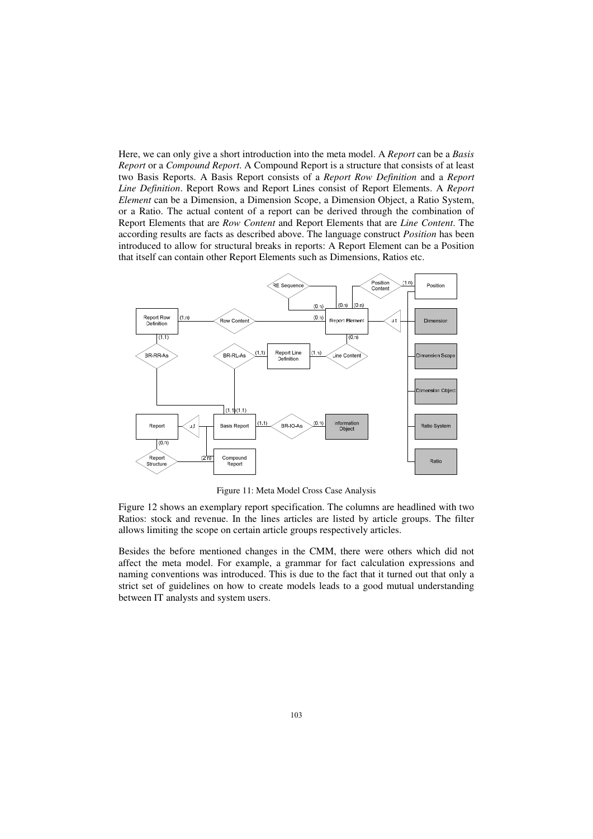Here, we can only give a short introduction into the meta model. A *Report* can be a *Basis Report* or a *Compound Report*. A Compound Report is a structure that consists of at least two Basis Reports. A Basis Report consists of a Report Row Definition and a Report *Line Definition.* Report Rows and Report Lines consist of Report Elements. A Report *Element* can be a Dimension, a Dimension Scope, a Dimension Object, a Ratio System, or a Ratio. The actual content of a report can be derived through the combination of Report Elements that are *Row Content* and Report Elements that are *Line Content*. The according results are facts as described above. The language construct *Position* has been introduced to allow for structural breaks in reports: A Report Element can be a Position that itself can contain other Report Elements such as Dimensions, Ratios etc.



Figure 11: Meta Model Cross Case Analysis

Figure 12 shows an exemplary report specification. The columns are headlined with two Ratios: stock and revenue. In the lines articles are listed by article groups. The filter allows limiting the scope on certain article groups respectively articles.

Besides the before mentioned changes in the CMM, there were others which did not affect the meta model. For example, a grammar for fact calculation expressions and naming conventions was introduced. This is due to the fact that it turned out that only a strict set of guidelines on how to create models leads to a good mutual understanding between IT analysts and system users.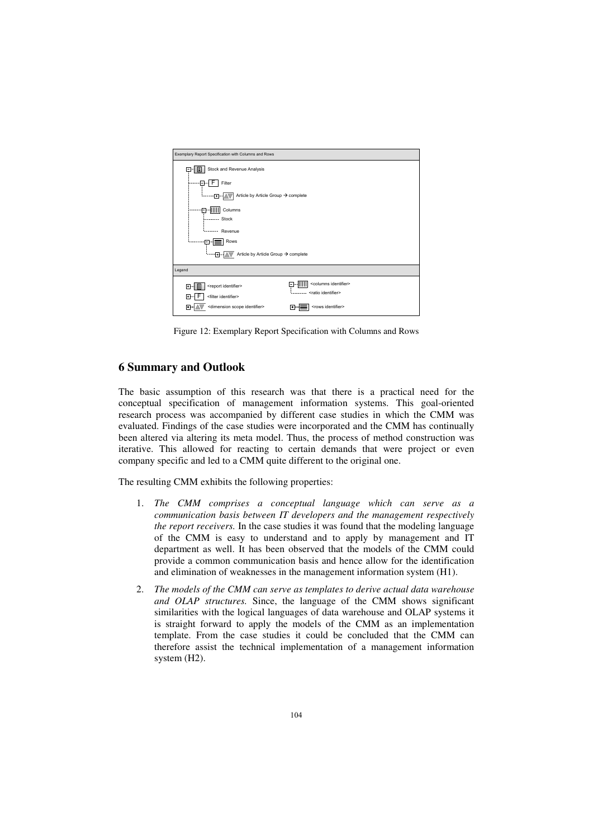

Figure 12: Exemplary Report Specification with Columns and Rows

## **6 Summary and Outlook**

The basic assumption of this research was that there is a practical need for the conceptual specification of management information systems. This goal-oriented research process was accompanied by different case studies in which the CMM was evaluated. Findings of the case studies were incorporated and the CMM has continually been altered via altering its meta model. Thus, the process of method construction was iterative. This allowed for reacting to certain demands that were project or even company specific and led to a CMM quite different to the original one.

The resulting CMM exhibits the following properties:

- 1. The CMM comprises a conceptual language which can serve as a *communication basis between IT developers and the management respectively the report receivers.* In the case studies it was found that the modeling language of the CMM is easy to understand and to apply by management and IT department as well. It has been observed that the models of the CMM could provide a common communication basis and hence allow for the identification and elimination of weaknesses in the management information system  $(H1)$ .
- 2. The models of the CMM can serve as templates to derive actual data warehouse and OLAP structures. Since, the language of the CMM shows significant similarities with the logical languages of data warehouse and OLAP systems it is straight forward to apply the models of the CMM as an implementation template. From the case studies it could be concluded that the CMM can therefore assist the technical implementation of a management information system (H2).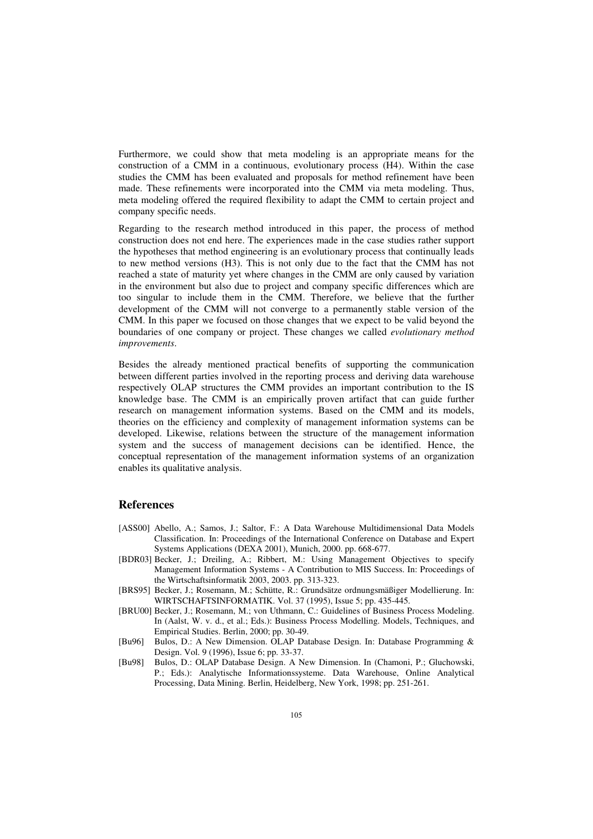Furthermore, we could show that meta modeling is an appropriate means for the construction of a CMM in a continuous, evolutionary process  $(H4)$ . Within the case studies the CMM has been evaluated and proposals for method refinement have been made. These refinements were incorporated into the CMM via meta modeling. Thus, meta modeling offered the required flexibility to adapt the CMM to certain project and company specific needs.

Regarding to the research method introduced in this paper, the process of method construction does not end here. The experiences made in the case studies rather support the hypotheses that method engineering is an evolutionary process that continually leads to new method versions  $(H3)$ . This is not only due to the fact that the CMM has not reached a state of maturity yet where changes in the CMM are only caused by variation in the environment but also due to project and company specific differences which are too singular to include them in the CMM. Therefore, we believe that the further development of the CMM will not converge to a permanently stable version of the CMM. In this paper we focused on those changes that we expect to be valid beyond the boundaries of one company or project. These changes we called evolutionary method  $improvements.$ 

Besides the already mentioned practical benefits of supporting the communication between different parties involved in the reporting process and deriving data warehouse respectively OLAP structures the CMM provides an important contribution to the IS knowledge base. The CMM is an empirically proven artifact that can guide further research on management information systems. Based on the CMM and its models, theories on the efficiency and complexity of management information systems can be developed. Likewise, relations between the structure of the management information system and the success of management decisions can be identified. Hence, the conceptual representation of the management information systems of an organization enables its qualitative analysis.

## $References$

- [ASS00] Abello, A.; Samos, J.; Saltor, F.: A Data Warehouse Multidimensional Data Models Classification. In: Proceedings of the International Conference on Database and Expert Systems Applications (DEXA 2001), Munich, 2000. pp. 668-677.
- [BDR03] B ecker, J.; Dreiling, A.; Ribbert, M.: Using Management Objectives to specify Management Information Systems - A Contribution to MIS Success. In: Proceedings of the Wirtschaftsinformatik 2003, 2003. pp. 313-323.
- [BRS95] Becker, J.; Rosemann, M.; Schütte, R.: Grundsätze ordnungsmäßiger Modellierung. In: WIRTSCHAFTSINFORMATIK. Vol. 37 (1995), Issue 5; pp. 435-445.
- [BRU00] Becker, J.; Rosemann, M.; von Uthmann, C.: Guidelines of Business Process Modeling. In (Aalst, W. v. d., et al.; Eds.): Business Process Modelling. Models, Techniques, and Empirical Studies. Berlin, 2000; pp. 30-49.
- [Bu96] Bulos, D.: A New Dimension. OLAP Database Design. In: Database Programming & Design. Vol. 9 (1996), Issue 6; pp. 33-37.
- [Bu98] Bulos, D.: OLAP Database Design. A New Dimension. In (Chamoni, P.; Gluchowski, P.; Eds.): Analytische Informationssysteme. Data Warehouse, Online Analytical Processing, Data Mining. Berlin, Heidelberg, New York, 1998; pp. 251-261.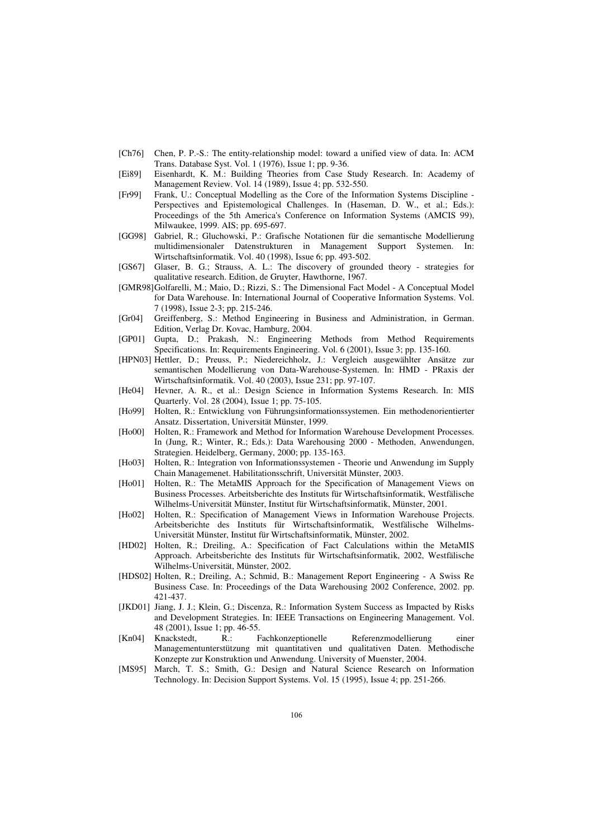- $[Ch76]$ Chen, P. P.-S.: The entity-relationship model: toward a unified view of data. In: ACM Trans. Database Syst. Vol. 1 (1976), Issue 1; pp. 9-36.
- Eisenhardt, K. M.: Building Theories from Case Study Research. In: Academy of **FEi891** Management Review. Vol. 14 (1989), Issue 4; pp. 532-550.
- Frank, U.: Conceptual Modelling as the Core of the Information Systems Discipline - $[Fr99]$ Perspectives and Epistemological Challenges. In (Haseman, D. W., et al.; Eds.): Proceedings of the 5th America's Conference on Information Systems (AMCIS 99). Milwaukee, 1999. AIS; pp. 695-697.
- [GG98] Gabriel, R.; Gluchowski, P.: Grafische Notationen für die semantische Modellierung multidimensionaler Datenstrukturen in Management Support Systemen. In: Wirtschaftsinformatik. Vol. 40 (1998), Issue 6; pp. 493-502.
- Glaser, B. G.; Strauss, A. L.: The discovery of grounded theory strategies for  $[GS67]$ qualitative research. Edition, de Gruyter, Hawthorne, 1967.
- [GMR98] Golfarelli, M.; Maio, D.; Rizzi, S.: The Dimensional Fact Model A Conceptual Model for Data Warehouse. In: International Journal of Cooperative Information Systems. Vol. 7 (1998), Issue 2-3; pp. 215-246.
- $\lfloor$ Gr04 $\rfloor$ Greiffenberg, S.: Method Engineering in Business and Administration, in German. Edition, Verlag Dr. Kovac, Hamburg, 2004.
- $[GP01]$ Gupta, D.; Prakash, N.: Engineering Methods from Method Requirements Specifications. In: Requirements Engineering. Vol. 6 (2001), Issue 3; pp. 135-160.
- [HPN03] Hettler, D.; Preuss, P.; Niedereichholz, J.: Vergleich ausgewählter Ansätze zur semantischen Modellierung von Data-Warehouse-Systemen. In: HMD - PRaxis der Wirtschaftsinformatik. Vol. 40 (2003), Issue 231; pp. 97-107.
- Hevner, A. R., et al.: Design Science in Information Systems Research. In: MIS  $[He04]$ Quarterly. Vol. 28 (2004), Issue 1; pp. 75-105.
- FH<sub>0</sub>991 Holten, R.: Entwicklung von Führungsinformationssystemen. Ein methodenorientierter Ansatz. Dissertation. Universität Münster, 1999.
- [Ho00] Holten, R.: Framework and Method for Information Warehouse Development Processes. In (Jung, R.; Winter, R.; Eds.): Data Warehousing 2000 - Methoden, Anwendungen, Strategien. Heidelberg, Germany, 2000; pp. 135-163.
- [Ho03] Holten, R.: Integration von Informationssystemen Theorie und Anwendung im Supply Chain Managemenet. Habilitationsschrift, Universität Münster, 2003.
- Holten, R.: The MetaMIS Approach for the Specification of Management Views on  $[Ho01]$ Business Processes. Arbeitsberichte des Instituts für Wirtschaftsinformatik, Westfälische Wilhelms-Universität Münster, Institut für Wirtschaftsinformatik, Münster, 2001.
- $[Ho02]$ Holten, R.: Specification of Management Views in Information Warehouse Projects. Arbeitsberichte des Instituts für Wirtschaftsinformatik, Westfälische Wilhelms-Universität Münster, Institut für Wirtschaftsinformatik, Münster, 2002.
- [HD02] Holten, R.; Dreiling, A.: Specification of Fact Calculations within the MetaMIS Approach. Arbeitsberichte des Instituts für Wirtschaftsinformatik, 2002, Westfälische Wilhelms-Universität, Münster, 2002.
- [HDS02] Holten, R.; Dreiling, A.; Schmid, B.; Management Report Engineering A Swiss Re Business Case. In: Proceedings of the Data Warehousing 2002 Conference, 2002. pp. 421-437
- [JKD01] Jiang, J. J.; Klein, G.; Discenza, R.: Information System Success as Impacted by Risks and Development Strategies. In: IEEE Transactions on Engineering Management. Vol. 48 (2001), Issue 1; pp. 46-55.
- [ $Kn04$ ] Knackstedt,  $R$ .: Fachkonzeptionelle Referenzmodellierung einer Managementunterstützung mit quantitativen und qualitativen Daten. Methodische Konzepte zur Konstruktion und Anwendung. University of Muenster, 2004.
- March, T. S.; Smith, G.: Design and Natural Science Research on Information **IMS951** Technology. In: Decision Support Systems. Vol. 15 (1995), Issue 4; pp. 251-266.